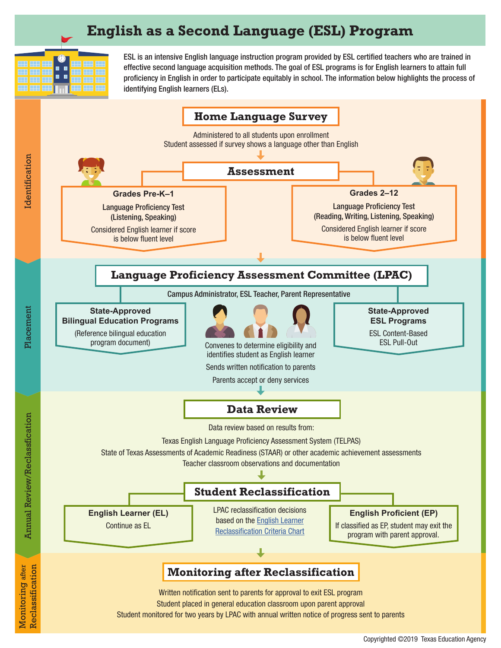# **English as a Second Language (ESL) Program**



ESL is an intensive English language instruction program provided by ESL certified teachers who are trained in effective second language acquisition methods. The goal of ESL programs is for English learners to attain full proficiency in English in order to participate equitably in school. The information below highlights the process of identifying English learners (ELs).